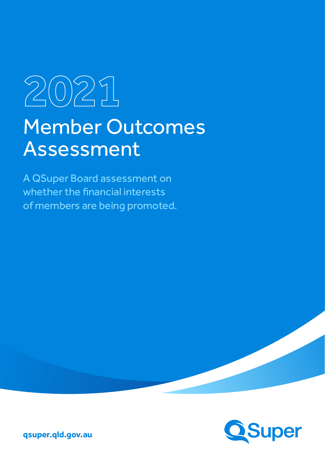# **2021** Member Outcomes Assessment

A QSuper Board assessment on whether the financial interests of members are being promoted.



**qsuper.qld.gov.au**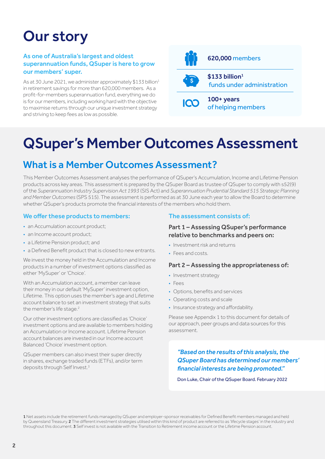## Our story

#### As one of Australia's largest and oldest superannuation funds, QSuper is here to grow our members' super.

As at 30 June 2021, we administer approximately \$133 billion<sup>1</sup> in retirement savings for more than 620,000 members. As a profit-for-members superannuation fund, everything we do is for our members, including working hard with the objective to maximise returns through our unique investment strategy and striving to keep fees as low as possible.



of helping members

## QSuper's Member Outcomes Assessment

## What is a Member Outcomes Assessment?

This Member Outcomes Assessment analyses the performance of QSuper's Accumulation, Income and Lifetime Pension products across key areas. This assessment is prepared by the QSuper Board as trustee of QSuper to comply with s52(9) of the *Superannuation Industry Supervision Act 1993* (SIS Act) and *Superannuation Prudential Standard 515 Strategic Planning and Member Outcomes* (SPS 515). The assessment is performed as at 30 June each year to allow the Board to determine whether QSuper's products promote the financial interests of the members who hold them.

#### We offer these products to members:

- an Accumulation account product;
- an Income account product;
- a Lifetime Pension product; and
- a Defined Benefit product that is closed to new entrants.

We invest the money held in the Accumulation and Income products in a number of investment options classified as either 'MySuper' or 'Choice'.

With an Accumulation account, a member can leave their money in our default 'MySuper' investment option, Lifetime. This option uses the member's age and Lifetime account balance to set an investment strategy that suits the member's life stage.<sup>2</sup>

Our other investment options are classified as 'Choice' investment options and are available to members holding an Accumulation or Income account. Lifetime Pension account balances are invested in our Income account Balanced 'Choice' investment option.

QSuper members can also invest their super directly in shares, exchange traded funds (ETFs), and/or term deposits through Self Invest.<sup>3</sup>

#### The assessment consists of:

#### Part 1 – Assessing QSuper's performance relative to benchmarks and peers on:

- Investment risk and returns
- Fees and costs.

#### Part 2 – Assessing the appropriateness of:

- Investment strategy
- Fees
- Options, benefits and services
- Operating costs and scale
- Insurance strategy and affordability.

Please see Appendix 1 to this document for details of our approach, peer groups and data sources for this assessment.

*"Based on the results of this analysis, the QSuper Board has determined our members' financial interests are being promoted."* 

Don Luke, Chair of the QSuper Board. February 2022

1 Net assets include the retirement funds managed by QSuper and employer-sponsor receivables for Defined Benefit members managed and held by Queensland Treasury. 2 The different investment strategies utilised within this kind of product are referred to as 'lifecycle stages' in the industry and throughout this document. 3 Self invest is not available with the Transition to Retirement income account or the Lifetime Pension account.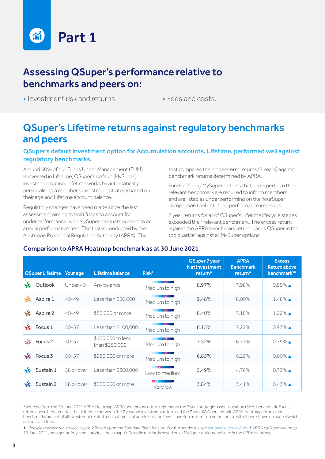

## Assessing QSuper's performance relative to benchmarks and peers on:

• Investment risk and returns • Fees and costs.

## QSuper's Lifetime returns against regulatory benchmarks and peers

#### QSuper's default investment option for Accumulation accounts, Lifetime, performed well against regulatory benchmarks.

Around 50% of our Funds Under Management (FUM) is invested in Lifetime, QSuper's default (MySuper) investment option. Lifetime works by automatically personalising a member's investment strategy based on their age and Lifetime account balance.<sup>1</sup>

Regulatory changes have been made since the last assessment aiming to hold funds to account for underperformance, with MySuper products subject to an annual performance test. The test is conducted by the Australian Prudential Regulation Authority (APRA). The

test compares the longer-term returns (7 years) against benchmark returns determined by APRA.

Funds offering MySuper options that underperform their relevant benchmark are required to inform members and are listed as underperforming on the YourSuper comparison tool until their performance improves.

7 year returns for all of QSuper's Lifetime lifecycle stages exceeded their relevant benchmark. The excess return against the APRA benchmark return places QSuper in the top quartile<sup>3</sup> against all MySuper options.

#### Comparison to APRA Heatmap benchmark as at 30 June 2021

|               | <b>QSuper Lifetime</b> | Your age   | <b>Lifetime balance</b>             | Risk <sup>2</sup>                       | <b>QSuper 7 year</b><br><b>Net Investment</b><br>return* | <b>APRA</b><br><b>Benchmark</b><br>return* | <b>Excess</b><br><b>Return above</b><br>benchmark <sup>3*</sup> |
|---------------|------------------------|------------|-------------------------------------|-----------------------------------------|----------------------------------------------------------|--------------------------------------------|-----------------------------------------------------------------|
| $\frac{1}{2}$ | Outlook                | Under 40   | Any balance                         | Medium to high                          | 8.97%                                                    | 7.98%                                      | $0.99\%$ $\triangle$                                            |
| $\frac{1}{2}$ | Aspire 1               | $40 - 49$  | Less than \$50,000                  | Medium to high                          | 9.48%                                                    | 8.00%                                      | $1.48\%$ $\triangle$                                            |
| $\frac{1}{2}$ | Aspire 2               | $40 - 49$  | \$50,000 or more                    | Medium to high                          | 8.40%                                                    | 7.18%                                      | $1.22\%$ $\triangle$                                            |
| S             | Focus <sub>1</sub>     | $50 - 57$  | Less than \$100,000                 | Medium to high                          | 8.15%                                                    | 7.22%                                      | $0.93\%$ $\triangle$                                            |
| $\sqrt{2}$    | Focus <sub>2</sub>     | $50 - 57$  | \$100,000 to less<br>than \$250,000 | Medium to high                          | 7.52%                                                    | 6.73%                                      | $0.79\%$ $\triangle$                                            |
| $\sqrt{2}$    | Focus <sub>3</sub>     | $50 - 57$  | \$250,000 or more                   | Medium to high                          | 6.85%                                                    | 6.25%                                      | $0.60\%$ $\triangle$                                            |
| $\frac{1}{2}$ | Sustain 1              | 58 or over | Less than \$300,000                 | Low to medium                           | 5.49%                                                    | 4.76%                                      | $0.73\%$ $\triangle$                                            |
| S             | Sustain 2              | 58 or over | \$300,000 or more                   | $\sim$ $\sim$ $\sim$ $\sim$<br>Very low | 3.84%                                                    | 3.41%                                      | $0.43\%$ $\triangle$                                            |

\*Sourced from the 30 June 2021 APRA Heatmap. APRA benchmark return represents the 7 year strategic asset allocation (SAA) benchmark. Excess return above benchmark is the difference between the 7 year net investment return and the 7 year SAA benchmark. APRA Heatmap returns and benchmarks are net of all investment related fees but gross of administration fees. Therefore returns do not reconcile with those shown on page 4 which are net of all fees.

1 Lifecycle reviews occur twice a year. 2 Based upon the Standard Risk Measure. For further details see gsuper.qld.gov.au/srm 3 APRA MySuper Heatmap 30 June 2021, apra.gov.au/mysuper-product-heatmap-0. Quartile ranking is based on all MySuper options included in the APRA Heatmap.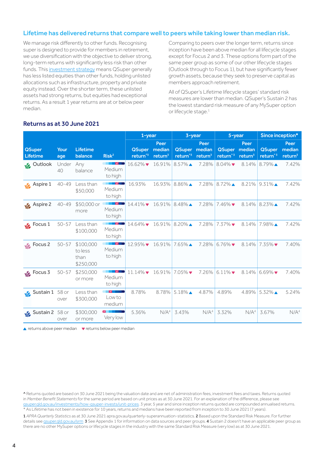#### Lifetime has delivered returns that compare well to peers while taking lower than median risk.

We manage risk differently to other funds. Recognising super is designed to provide for members in retirement, we use diversification with the objective to deliver strong, long-term returns with significantly less risk than other funds. This [investment strategy](https://qsuper.qld.gov.au/Investments/How-QSuper-Invests/Investment-strategy-philosophy) means QSuper generally has less listed equities than other funds, holding unlisted allocations such as infrastructure, property and private equity instead. Over the shorter term, these unlisted assets had strong returns, but equities had exceptional returns. As a result 1 year returns are at or below peer median.

Comparing to peers over the longer term, returns since inception have been above median for all lifecycle stages except for Focus 2 and 3. These options form part of the same peer group as some of our other lifecycle stages (Outlook through to Focus 1), but have significantly fewer growth assets, because they seek to preserve capital as members approach retirement.

All of QSuper's Lifetime lifecycle stages' standard risk measures are lower than median. QSuper's Sustain 2 has the lowest standard risk measure of any MySuper option or lifecycle stage.<sup>1</sup>

|                                  |             |                                           |                                               | $1 - year$<br>$3$ -year               |                                       |                               | 5-year             |                             | Since inception*                      |                                       |                                       |
|----------------------------------|-------------|-------------------------------------------|-----------------------------------------------|---------------------------------------|---------------------------------------|-------------------------------|--------------------|-----------------------------|---------------------------------------|---------------------------------------|---------------------------------------|
| <b>QSuper</b><br><b>Lifetime</b> | Your<br>age | <b>Lifetime</b><br>balance                | Risk <sup>2</sup>                             | <b>QSuper</b><br>return <sup>13</sup> | Peer<br>median<br>return <sup>3</sup> | QSuper median<br>return $3$   | Peer<br>return $3$ | <b>QSuper</b><br>return $3$ | Peer<br>median<br>return <sup>3</sup> | <b>QSuper</b><br>return <sup>^3</sup> | Peer<br>median<br>return <sup>3</sup> |
| <b>Soutlook</b>                  | Under<br>40 | Any<br>balance                            | Medium<br>to high                             | $16.62\%$                             | 16.91%                                | $8.57\%$ $\triangle$          | 7.28%              | $8.04\%$                    | 8.14%                                 | $8.79\%$ $\triangle$                  | 7.42%                                 |
| <b>Solution</b> Aspire 1         | $40 - 49$   | Less than<br>\$50,000                     | <b>IN METAL</b><br>Medium<br>to high          | 16.93%                                | 16.93%                                | $8.86\%$ $\triangle$          | 7.28%              | 8.72%▲                      |                                       | $8.21\%$ 9.31%                        | 7.42%                                 |
| Aspire 2                         | $40 - 49$   | \$50,000 or<br>more                       | <b>Alberta Street</b><br>Medium<br>to high    | 14.41% 16.91%                         |                                       | $8.48\%$ $\triangle$          | 7.28%              | $7.46\%$                    |                                       | 8.14% 8.23%                           | 7.42%                                 |
| $\frac{1}{2}$ Focus 1            | $50 - 57$   | Less than<br>\$100,000                    | V  <br>Medium<br>to high                      | $14.64\%$                             |                                       | 16.91% 8.20%                  | 7.28%              | $7.37\%$                    | 8.14%                                 | 7.98%▲                                | 7.42%                                 |
| $\frac{1}{2}$ Focus 2            | $50 - 57$   | \$100,000<br>to less<br>than<br>\$250,000 | andra Maria<br>Medium<br>to high              | $12.95\%$ $\blacktriangledown$        | 16.91%                                | $7.65\%$ $\triangle$          | 7.28%              | $6.76\%$                    | 8.14%                                 | $7.35\%$                              | 7.40%                                 |
| $\frac{1}{2}$ Focus 3            | $50 - 57$   | \$250,000<br>or more                      | $\overline{\phantom{a}}$<br>Medium<br>to high | $11.14\%$ $\bullet$ 16.91%            |                                       | $7.05\%$ $\blacktriangledown$ |                    | 7.26% 6.11%▼                |                                       | 8.14% 6.69% $\blacktriangledown$      | 7.40%                                 |
| Sustain 1 58 or                  | over        | Less than<br>\$300,000                    | <b>EXTERN</b><br>Low to<br>medium             | 8.78%                                 | 8.78%                                 | $5.18\%$ $\triangle$          | 4.87%              | 4.89%                       | 4.89%                                 | $5.32\%$ $\triangle$                  | 5.24%                                 |
| Sustain 2 58 or                  | over        | \$300,000<br>or more                      | <b>Experience</b><br>Very low                 | 5.36%                                 | N/A <sup>4</sup>                      | 3.43%                         | N/A <sup>4</sup>   | 3.32%                       | N/A <sup>4</sup>                      | 3.67%                                 | N/A <sup>4</sup>                      |

#### Returns as at 30 June 2021

 $\blacktriangle$  returns above peer median  $\blacktriangledown$  returns below peer median

1 *APRA Quarterly Statistics* as at 30 June 2021 apra.gov.au/quarterly‑superannuation-statistics. 2 Based upon the Standard Risk Measure. For further details see gsuper.qld.gov.au/srm 3 See Appendix 1 for information on data sources and peer groups. 4 Sustain 2 doesn't have an applicable peer group as there are no other MySuper options or lifecycle stages in the industry with the same Standard Risk Measure (very low) as at 30 June 2021.

<sup>^</sup> Returns quoted are based on 30 June 2021 being the valuation date and are net of administration fees, investment fees and taxes. Returns quoted in *Member Benefit Statements* for the same period are based on unit prices as at 30 June 2021. For an explanation of the difference, please see [qsuper.qld.gov.au/investments/how-qsuper-invests/unit-prices](https://qsuper.qld.gov.au/investments/how-qsuper-invests/unit-prices). 3 year, 5 year and since inception returns quoted are compounded annualised returns. \* As Lifetime has not been in existence for 10 years, returns and medians have been reported from inception to 30 June 2021 (7 years).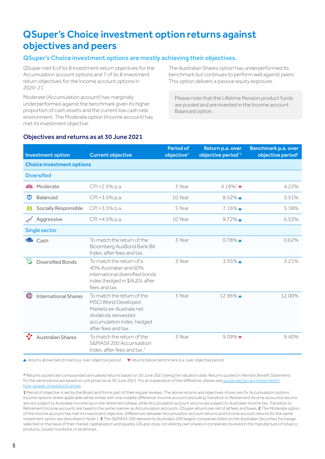## QSuper's Choice investment option returns against objectives and peers

#### QSuper's Choice investment options are mostly achieving their objectives.

QSuper met 6 of its 8 investment return objectives for the Accumulation account options and 7 of its 8 investment return objectives for the Income account options in 2020-21.

Moderate (Accumulation account) has marginally underperformed against the benchmark given its higher proportion of cash assets and the current low cash rate environment. The Moderate option (Income account) has met its investment objective.

The Australian Shares option has underperformed its benchmark but continues to perform well against peers. This option delivers a passive equity exposure.

Please note that the Lifetime Pension product funds are pooled and are invested in the Income account Balanced option.

#### Objectives and returns as at 30 June 2021

|    | <b>Investment option</b>         | <b>Current objective</b>                                                                                                                                    | <b>Period of</b><br>objective <sup>1</sup> | Return p.a. over<br>objective period <sup>^1</sup> | Benchmark p.a. over<br>objective period <sup>1</sup> |
|----|----------------------------------|-------------------------------------------------------------------------------------------------------------------------------------------------------------|--------------------------------------------|----------------------------------------------------|------------------------------------------------------|
|    | <b>Choice investment options</b> |                                                                                                                                                             |                                            |                                                    |                                                      |
|    | <b>Diversified</b>               |                                                                                                                                                             |                                            |                                                    |                                                      |
|    | Moderate                         | CPI + 2.5% p.a.                                                                                                                                             | 3 Year                                     | 4.18% <sup>2</sup> $\blacktriangledown$            | 4.22%                                                |
| 哑  | Balanced                         | CPI +3.5% p.a.                                                                                                                                              | 10 Year                                    | $8.52\%$ $\triangle$                               | 5.51%                                                |
| λX | Socially Responsible             | CPI +3.5% p.a.                                                                                                                                              | 5 Year                                     | $7.16\%$ $\triangle$                               | 5.38%                                                |
|    | Aggressive                       | CPI +4.5% p.a.                                                                                                                                              | 10 Year                                    | $9.72\%$ $\triangle$                               | 6.53%                                                |
|    | Single sector                    |                                                                                                                                                             |                                            |                                                    |                                                      |
|    | <b>D</b> Cash                    | To match the return of the<br>Bloomberg AusBond Bank Bill<br>Index, after fees and tax.                                                                     | 3 Year                                     | $0.78\%$ $\triangle$                               | 0.62%                                                |
| Đ  | <b>Diversified Bonds</b>         | To match the return of a<br>40% Australian and 60%<br>international diversified bonds<br>index (hedged in \$AUD), after<br>fees and tax.                    | 3 Year                                     | $3.95\%$ $\triangle$                               | 3.21%                                                |
| ◍  | <b>International Shares</b>      | To match the return of the<br>MSCI World Developed<br>Markets ex-Australia net<br>dividends reinvested<br>accumulation index, hedged<br>after fees and tax. | 3 Year                                     | 12.96%                                             | 12.00%                                               |
|    | <b>Australian Shares</b>         | To match the return of the<br>S&P/ASX 200 Accumulation<br>Index, after fees and tax. <sup>3</sup>                                                           | 3 Year                                     | $9.09\%$                                           | 9.40%                                                |

▲ returns above benchmark p.a. over objective period <br>● returns below benchmark p.a. over objective period ● returns below benchmark p.a. over objective period

^ Returns quoted are compounded annualised returns based on 30 June 2021 being the valuation date. Returns quoted in *Member Benefit Statements*  for the same period are based on unit prices as at 30 June 2021. For an explanation of the difference, please see gsuper.qld.gov.au/investments/ [how-qsuper-invests/unit-prices](https://qsuper.qld.gov.au/investments/how-qsuper-invests/unit-prices).

1 Period of objective is set by the Board and forms part of their regular reviews. The above returns and objectives shown are for Accumulation options. Income options where applicable will be similar with one notable difference: Income account (excluding Transition to Retirement Income accounts) returns are not subject to Australian income tax in the retirement phase, while Accumulation account returns are subject to Australian income tax. Transition to Retirement Income accounts are taxed in the same manner as Accumulation accounts. QSuper returns are net of all fees and taxes. 2 The Moderate option of the Income account has met its investment objective. Differences between Accumulation account returns and Income account returns for the same investment option are described in Note 1.3 The S&P/ASX 200 represents Australia's 200 largest companies listed on the Australian Securities Exchange, selected on the basis of their market capitalisation and liquidity. QSuper does not directly own shares in companies involved in the manufacture of tobacco products, cluster munitions or landmines.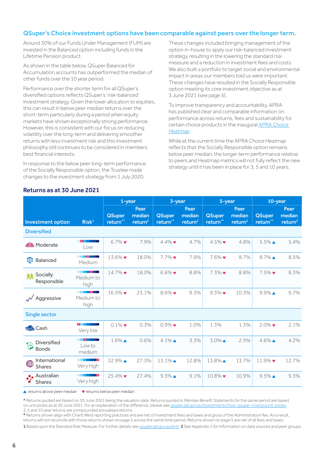#### QSuper's Choice investment options have been comparable against peers over the longer term.

Around 30% of our Funds Under Management (FUM) are invested in the Balanced option including funds in the Lifetime Pension product.

As shown in the table below, QSuper Balanced for Accumulation accounts has outperformed the median of other funds over the 10 year period.

Performance over the shorter term for all QSuper's diversified options reflects QSuper's 'risk-balanced' investment strategy. Given the lower allocation to equities, this can result in below peer median returns over the short-term particularly during a period when equity markets have shown exceptionally strong performance. However, this is consistent with our focus on reducing volatility over the long-term and delivering smoother returns with less investment risk and this investment philosophy still continues to be considered in members best financial interests.

In response to the below peer long-term performance of the Socially Responsible option, the Trustee made changes to the investment strategy from 1 July 2020.

Returns as at 30 June 2021

These changes included bringing management of the option in-house to apply our risk-balanced investment strategy, resulting in the lowering the standard risk measure and a reduction in investment fees and costs. We also built a portfolio to target social and environmental impact in areas our members told us were important. These changes have resulted in the Socially Responsible option meeting its core investment objective as at 3 June 2021 (see page 5).

To improve transparency and accountability, APRA has published clear and comparable information on performance across returns, fees and sustainability for certain choice products in the inaugural APRA *[Choice](https://www.apra.gov.au/choice-heatmap-papers)  [Heatmap](https://www.apra.gov.au/choice-heatmap-papers)*.

While at the current time the APRA *Choice Heatmap* reflects that the Socially Responsible option remains below peer median, the longer term performance relative to peers and Heatmap metrics will not fully reflect the new strategy until it has been in place for 3, 5 and 10 years.

|                                        |                                                                                                                                                                                                                                                     | $1$ -year                             |                                       | 3-year                                |                                       | 5-year                                |                                       | 10-year                               |                                       |
|----------------------------------------|-----------------------------------------------------------------------------------------------------------------------------------------------------------------------------------------------------------------------------------------------------|---------------------------------------|---------------------------------------|---------------------------------------|---------------------------------------|---------------------------------------|---------------------------------------|---------------------------------------|---------------------------------------|
| <b>Investment option</b>               | Risk <sup>1</sup>                                                                                                                                                                                                                                   | <b>QSuper</b><br>return <sup>^*</sup> | Peer<br>median<br>return <sup>2</sup> | <b>QSuper</b><br>return <sup>^*</sup> | Peer<br>median<br>return <sup>2</sup> | <b>QSuper</b><br>return <sup>^*</sup> | Peer<br>median<br>return <sup>2</sup> | <b>QSuper</b><br>return <sup>^*</sup> | Peer<br>median<br>return <sup>2</sup> |
| <b>Diversified</b>                     |                                                                                                                                                                                                                                                     |                                       |                                       |                                       |                                       |                                       |                                       |                                       |                                       |
| <b>4</b> D<br>Moderate                 | $\overline{\mathbf{v}}$<br>Low                                                                                                                                                                                                                      | $6.7\%$                               | 7.9%                                  | $4.4\%$                               | 4.7%                                  | $4.5\%$                               | 4.8%                                  | $5.5\%$ $\triangle$                   | 5.4%                                  |
| $\Delta$ $\Delta$<br>Balanced          | "∨<br>Medium                                                                                                                                                                                                                                        | $13.6\%$                              | 18.0%                                 | $7.7\%$                               | 7.9%                                  | $7.6\%$                               | 8.7%                                  | $8.7\%$ $\triangle$                   | 8.5%                                  |
| Socially<br>夶<br>Responsible           | Medium to<br>high                                                                                                                                                                                                                                   | $14.7\%$                              | 18.0%                                 | $6.6\%$                               | 8.8%                                  | $7.3\%$                               | 8.8%                                  | $7.5\%$                               | 8.3%                                  |
| Aggressive                             | and the second second second second second second second second second second second second second second second second second second second second second second second second second second second second second second seco<br>Medium to<br>high | $16.5\%$                              | 23.1%                                 | $8.6\%$                               | 9.3%                                  | $9.3\%$                               | 10.3%                                 | $9.9\%$                               | 9.7%                                  |
| Single sector                          |                                                                                                                                                                                                                                                     |                                       |                                       |                                       |                                       |                                       |                                       |                                       |                                       |
| <b>o</b> Cash                          | $\sim$ $\blacksquare$<br>Very low                                                                                                                                                                                                                   | $0.1\%$                               | 0.3%                                  | $0.9\%$ $\blacktriangledown$          | 1.0%                                  | 1.3%                                  | 1.3%                                  | $2.0\%$                               | 2.1%                                  |
| Diversified<br>Ŧ<br><b>Bonds</b>       | $\overline{\mathbf{v}}$<br>Low to<br>medium                                                                                                                                                                                                         | $1.6\%$ $\triangle$                   | 0.6%                                  | $4.1\%$ $\triangle$                   | 3.3%                                  | $3.0\%$ $\triangle$                   | 2.9%                                  | $4.6\%$                               | 4.2%                                  |
| International<br>困<br><b>Shares</b>    | <u> The Second Second Second Second Second Second Second Second Second Second Second Second Second Second Second Second Second Second Second Second Second Second Second Second Second Second Second Second Second Second Second</u><br>Very high   | 32.9%                                 | 27.3%                                 | $13.1\%$ $\triangle$                  | 12.8%                                 | 13.8%                                 | 13.7%                                 | $11.9\%$                              | 12.7%                                 |
| <b>★</b> ★ Australian<br><b>Shares</b> | $\blacksquare$<br>Very high                                                                                                                                                                                                                         | $25.4\%$                              | 27.4%                                 | $9.3\%$                               | 9.1%                                  | $10.8\%$                              | 10.9%                                 | $9.5\%$                               | 9.3%                                  |

 $\triangle$  returns above peer median  $\triangledown$  returns below peer median

^ Returns quoted are based on 30 June 2021 being the valuation date. Returns quoted in *Member Benefit Statements* for the same period are based on unit prices as at 30 June 2021. For an explanation of the difference, please see gsuper.qld.gov.au/investments/how-qsuper-invests/unit-prices. 3, 5 and 10 year returns are compounded annualised returns.

\* Returns shown align with Chant West reporting practices and are net of investment fees and taxes and gross of the Administration fee. As a result, returns will not reconcile with those returns shown on page 5 across the same time period. Returns shown on page 5 are net of all fees and taxes. 1 Based upon the Standard Risk Measure. For further details see gsuper.gld.gov.au/srm 2 See Appendix 1 for information on data sources and peer groups.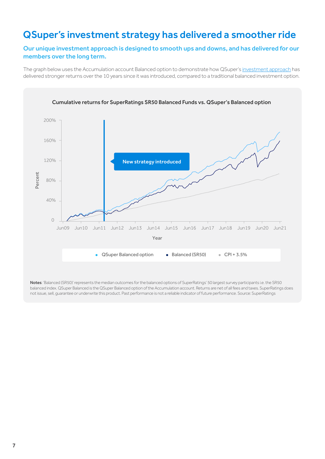## QSuper's investment strategy has delivered a smoother ride

#### Our unique investment approach is designed to smooth ups and downs, and has delivered for our members over the long term.

The graph below uses the Accumulation account Balanced option to demonstrate how QSuper's [investment approach](https://qsuper.qld.gov.au/Investments/How-QSuper-Invests/Investment-strategy-philosophy) has delivered stronger returns over the 10 years since it was introduced, compared to a traditional balanced investment option.



Notes: 'Balanced (SR50)' represents the median outcomes for the balanced options of SuperRatings' 50 largest survey participants i.e. the SR50 balanced index. QSuper Balanced is the QSuper Balanced option of the Accumulation account. Returns are net of all fees and taxes. SuperRatings does not issue, sell, guarantee or underwrite this product. Past performance is not a reliable indicator of future performance. Source: SuperRatings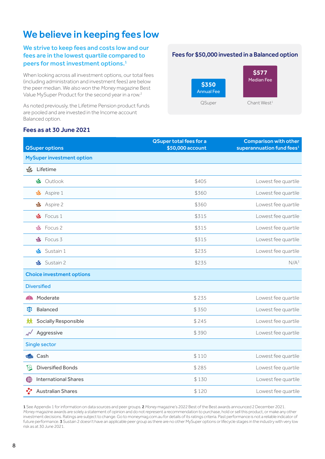## We believe in keeping fees low

#### We strive to keep fees and costs low and our fees are in the lowest quartile compared to peers for most investment options.1

When looking across all investment options, our total fees (including administration and investment fees) are below the peer median. We also won the *Money* magazine Best Value MySuper Product for the second year in a row.<sup>2</sup>

As noted previously, the Lifetime Pension product funds are pooled and are invested in the Income account Balanced option.

#### Fees for \$50,000 invested in a Balanced option



#### Fees as at 30 June 2021

|                                                    | <b>QSuper total fees for a</b> | <b>Comparison with other</b>          |
|----------------------------------------------------|--------------------------------|---------------------------------------|
| <b>QSuper options</b>                              | \$50,000 account               | superannuation fund fees <sup>1</sup> |
| <b>MySuper investment option</b>                   |                                |                                       |
| $\sqrt{2}$<br>Lifetime                             |                                |                                       |
| Soutlook                                           | \$405                          | Lowest fee quartile                   |
| Aspire 1<br>S                                      | \$360                          | Lowest fee quartile                   |
| Aspire 2<br>S                                      | \$360                          | Lowest fee quartile                   |
| Focus 1<br><b>SG</b>                               | \$315                          | Lowest fee quartile                   |
| Focus 2<br>S                                       | \$315                          | Lowest fee quartile                   |
| Focus 3<br>S                                       | \$315                          | Lowest fee quartile                   |
| Sustain 1<br><u>V</u>                              | \$235                          | Lowest fee quartile                   |
| Sustain 2<br>$\mathscr{C}$                         | \$235                          | N/A <sup>3</sup>                      |
| <b>Choice investment options</b>                   |                                |                                       |
| <b>Diversified</b>                                 |                                |                                       |
| Moderate<br>41                                     | \$235                          | Lowest fee quartile                   |
| Balanced<br>ठा                                     | \$350                          | Lowest fee quartile                   |
| Socially Responsible<br>ᅓ                          | \$245                          | Lowest fee quartile                   |
| Aggressive<br>$\boldsymbol{\lambda}^{\mathcal{N}}$ | \$390                          | Lowest fee quartile                   |
| Single sector                                      |                                |                                       |
| <b>DA</b> Cash                                     | \$110                          | Lowest fee quartile                   |
| $\mathbb{H}$<br><b>Diversified Bonds</b>           | \$285                          | Lowest fee quartile                   |
| <b>International Shares</b><br>◍                   | \$130                          | Lowest fee quartile                   |
| <b>Australian Shares</b>                           | \$120                          | Lowest fee quartile                   |

1 See Appendix 1 for information on data sources and peer groups. 2 *Money* magazine's 2022 Best of the Best awards announced 2 December 2021. *Money* magazine awards are solely a statement of opinion and do not represent a recommendation to purchase, hold or sell this product, or make any other investment decisions. Ratings are subject to change. Go to moneymag.com.au for details of its ratings criteria. Past performance is not a reliable indicator of future performance. 3 Sustain 2 doesn't have an applicable peer group as there are no other MySuper options or lifecycle stages in the industry with very low risk as at 30 June 2021.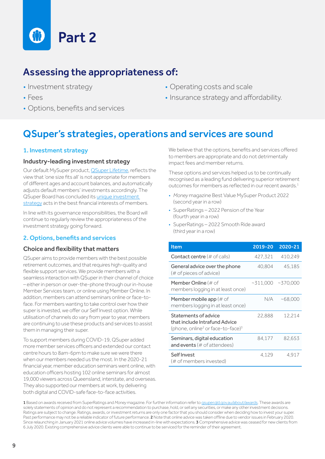

## Assessing the appropriateness of:

- Investment strategy
- Fees
- Options, benefits and services
- Operating costs and scale
- Insurance strategy and affordability.

## QSuper's strategies, operations and services are sound

#### 1. Investment strategy

#### Industry-leading investment strategy

Our default MySuper product, [QSuper Lifetime,](https://qsuper.qld.gov.au/investments/options/lifetime) reflects the view that 'one size fits all' is not appropriate for members of different ages and account balances, and automatically adjusts default members' investments accordingly. The QSuper Board has concluded its unique investment [strategy](https://qsuper.qld.gov.au/Investments/How-QSuper-Invests/Investment-strategy-philosophy) acts in the best financial interests of members.

In line with its governance responsibilities, the Board will continue to regularly review the appropriateness of the investment strategy going forward.

#### 2. Options, benefits and services

#### Choice and flexibility that matters

QSuper aims to provide members with the best possible retirement outcomes, and that requires high-quality and flexible support services. We provide members with a seamless interaction with QSuper in their channel of choice – either in person or over-the-phone through our in-house Member Services team, or online using Member Online. In addition, members can attend seminars online or face-toface. For members wanting to take control over how their super is invested, we offer our Self Invest option. While utilisation of channels do vary from year to year, members are continuing to use these products and services to assist them in managing their super.

To support members during COVID-19, QSuper added more member services officers and extended our contact centre hours to 8am-6pm to make sure we were there when our members needed us the most. In the 2020-21 financial year, member education seminars went online, with education officers hosting 102 online seminars for almost 19,000 viewers across Queensland, interstate, and overseas. They also supported our members at work, by delivering both digital and COVID-safe face-to-face activities.

We believe that the options, benefits and services offered to members are appropriate and do not detrimentally impact fees and member returns.

These options and services helped us to be continually recognised as a leading fund delivering superior retirement outcomes for members as reflected in our recent awards.<sup>1</sup>

- *• Money* magazine Best Value MySuper Product 2022 (second year in a row)
- SuperRatings 2022 Pension of the Year (fourth year in a row)
- SuperRatings 2022 Smooth Ride award (third year in a row)

| Item                                                                                                               | 2019-20    | 2020-21   |
|--------------------------------------------------------------------------------------------------------------------|------------|-----------|
| <b>Contact centre</b> (# of calls)                                                                                 | 427,321    | 410,249   |
| General advice over the phone<br>(# of pieces of advice)                                                           | 40,804     | 45,185    |
| <b>Member Online</b> (# of<br>members logging in at least once)                                                    | $-311,000$ | ~10000    |
| <b>Member mobile app</b> (# of<br>members logging in at least once)                                                | N/A.       | $-68,000$ |
| Statements of advice<br>that include Intrafund Advice<br>(phone, online <sup>2</sup> or face-to-face) <sup>3</sup> | 22,888     | 12,214    |
| Seminars, digital education<br>and events $(\# \text{ of } \text{attendees})$                                      | 84.177     | 82,653    |
| Self Invest<br>(# of members invested)                                                                             | 4.129      | 4.917     |

1 Based on awards received from SuperRatings and Money magazine. For further information refer to gsuper.qld.gov.au/about/awards. These awards are solely statements of opinion and do not represent a recommendation to purchase, hold, or sell any securities, or make any other investment decisions. Ratings are subject to change. Ratings, awards, or investment returns are only one factor that you should consider when deciding how to invest your super. Past performance may not be a reliable indicator of future performance. 2 Note that online advice was taken offline due to vendor issues in February 2020. Since relaunching in January 2021 online advice volumes have increased in-line with expectations. 3 Comprehensive advice was ceased for new clients from 6 July 2020. Existing comprehensive advice clients were able to continue to be serviced for the reminder of their agreement.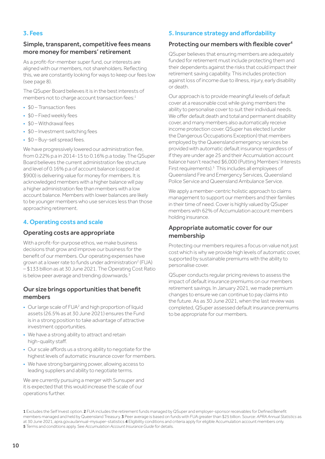#### 3. Fees

#### Simple, transparent, competitive fees means more money for members' retirement

As a profit-for-member super fund, our interests are aligned with our members, not shareholders. Reflecting this, we are constantly looking for ways to keep our fees low (see page 8).

The QSuper Board believes it is in the best interests of members not to charge account transaction fees:<sup>1</sup>

- \$0 Transaction fees
- \$0 Fixed weekly fees
- \$0 Withdrawal fees
- \$0 Investment switching fees
- \$0 Buy-sell spread fees.

We have progressively lowered our administration fee, from 0.22% p.a in 2014-15 to 0.16% p.a today. The QSuper Board believes the current administration fee structure and level of 0.16% p.a of account balance (capped at \$900) is delivering value for money for members. It is acknowledged members with a higher balance will pay a higher administration fee than members with a low account balance. Members with lower balances are likely to be younger members who use services less than those approaching retirement.

#### 4. Operating costs and scale

#### Operating costs are appropriate

With a profit-for-purpose ethos, we make business decisions that grow and improve our business for the benefit of our members. Our operating expenses have grown at a lower rate to funds under administration<sup>2</sup> (FUA) – \$133 billion as at 30 June 2021. The Operating Cost Ratio is below peer average and trending downwards.<sup>3</sup>

#### Our size brings opportunities that benefit members

- $\bullet$  Our large scale of  $FUA^2$  and high proportion of liquid assets (26.5% as at 30 June 2021) ensures the Fund is in a strong position to take advantage of attractive investment opportunities.
- We have a strong ability to attract and retain high-quality staff.
- Our scale affords us a strong ability to negotiate for the highest levels of automatic insurance cover for members.
- We have strong bargaining power, allowing access to leading suppliers and ability to negotiate terms.

We are currently pursuing a merger with Sunsuper and it is expected that this would increase the scale of our operations further.

#### 5. Insurance strategy and affordability

#### Protecting our members with flexible cover<sup>4</sup>

QSuper believes that ensuring members are adequately funded for retirement must include protecting them and their dependents against the risks that could impact their retirement saving capability. This includes protection against loss of income due to illness, injury, early disability or death.

Our approach is to provide meaningful levels of default cover at a reasonable cost while giving members the ability to personalise cover to suit their individual needs. We offer default death and total and permanent disability cover, and many members also automatically receive income protection cover. QSuper has elected (under the Dangerous Occupations Exception) that members employed by the Queensland emergency services be provided with automatic default insurance regardless of if they are under age 25 and their Accumulation account balance hasn't reached \$6,000 (Putting Members' Interests First requirements).5 This includes all employees of Queensland Fire and Emergency Services, Queensland Police Service and Queensland Ambulance Service.

We apply a member-centric holistic approach to claims management to support our members and their families in their time of need. Cover is highly valued by QSuper members with 62% of Accumulation account members holding insurance.

#### Appropriate automatic cover for our membership

Protecting our members requires a focus on value not just cost which is why we provide high levels of automatic cover, supported by sustainable premiums with the ability to personalise cover.

QSuper conducts regular pricing reviews to assess the impact of default insurance premiums on our members retirement savings. In January 2021, we made premium changes to ensure we can continue to pay claims into the future. As as 30 June 2021, when the last review was completed, QSuper assessed default insurance premiums to be appropriate for our members.

1 Excludes the Self Invest option. 2 FUA includes the retirement funds managed by QSuper and employer-sponsor receivables for Defined Benefit members managed and held by Queensland Treasury. 3 Peer average is based on funds with FUA greater than \$25 billion. Source: *APRA Annual Statistics* as at 30 June 2021, [apra.gov.au/annual-mysuper-statistics](https://www.apra.gov.au/annual-mysuper-statistics) 4 Eligibility conditions and criteria apply for eligible Accumulation account members only. 5 Terms and conditions apply. See *Accumulation Account Insurance Guide* for details.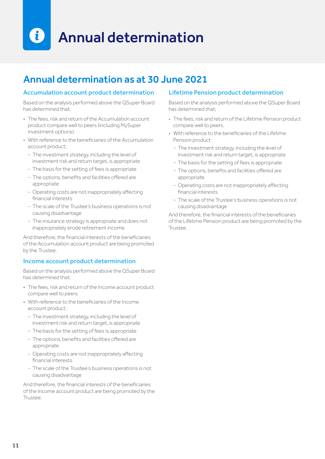### $\mathbf{i}$ Annual determination

## Annual determination as at 30 June 2021

#### Accumulation account product determination

Based on the analysis performed above the QSuper Board has determined that:

- The fees, risk and return of the Accumulation account product compare well to peers (including MySuper investment options).
- With reference to the beneficiaries of the Accumulation account product:
	- The investment strategy, including the level of investment risk and return target, is appropriate
	- The basis for the setting of fees is appropriate
	- ‒ The options, benefits and facilities offered are appropriate
	- Operating costs are not inappropriately affecting financial interests
	- ‒ The scale of the Trustee's business operations is not causing disadvantage
	- The insurance strategy is appropriate and does not inappropriately erode retirement income

And therefore, the financial interests of the beneficiaries of the Accumulation account product are being promoted by the Trustee.

#### Income account product determination

Based on the analysis performed above the QSuper Board has determined that;

- The fees, risk and return of the Income account product compare well to peers.
- With reference to the beneficiaries of the Income account product:
	- The investment strategy, including the level of investment risk and return target, is appropriate
	- The basis for the setting of fees is appropriate
	- ‒ The options, benefits and facilities offered are appropriate
	- Operating costs are not inappropriately affecting financial interests
	- ‒ The scale of the Trustee's business operations is not causing disadvantage

And therefore, the financial interests of the beneficiaries of the Income account product are being promoted by the Trustee.

#### Lifetime Pension product determination

Based on the analysis performed above the QSuper Board has determined that:

- The fees, risk and return of the Lifetime Pension product compare well to peers.
- With reference to the beneficiaries of the Lifetime Pension product:
	- The investment strategy, including the level of investment risk and return target, is appropriate
	- The basis for the setting of fees is appropriate
	- ‒ The options, benefits and facilities offered are appropriate
	- Operating costs are not inappropriately affecting financial interests
	- ‒ The scale of the Trustee's business operations is not causing disadvantage

And therefore, the financial interests of the beneficiaries of the Lifetime Pension product are being promoted by the Trustee.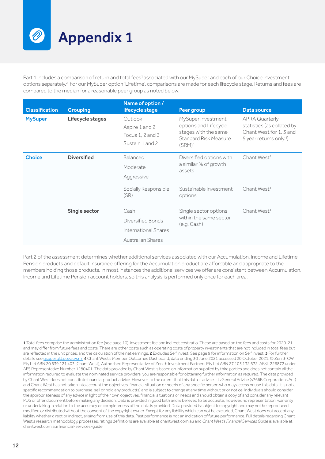Appendix 1

Part 1 includes a comparison of return and total fees<sup>1</sup> associated with our MySuper and each of our Choice investment options separately.<sup>2</sup> For our MySuper option 'Lifetime', comparisons are made for each lifecycle stage. Returns and fees are compared to the median for a reasonable peer group as noted below:

| <b>Classification</b> | <b>Grouping</b>    | Name of option /<br>lifecycle stage                              | Peer group                                                                                                                | Data source                                                                                                           |  |
|-----------------------|--------------------|------------------------------------------------------------------|---------------------------------------------------------------------------------------------------------------------------|-----------------------------------------------------------------------------------------------------------------------|--|
| <b>MySuper</b>        | Lifecycle stages   | Outlook<br>Aspire 1 and 2<br>Focus 1, 2 and 3<br>Sustain 1 and 2 | MySuper investment<br>options and Lifecycle<br>stages with the same<br><b>Standard Risk Measure</b><br>(SRM) <sup>3</sup> | <b>APRA Quarterly</b><br>statistics (as collated by<br>Chant West for 1, 3 and<br>5 year returns only. <sup>4</sup> ) |  |
| <b>Choice</b>         | <b>Diversified</b> | <b>Balanced</b><br>Moderate<br>Aggressive                        | Diversified options with<br>a similar % of growth<br>assets                                                               | Chant West <sup>4</sup>                                                                                               |  |
|                       |                    | Socially Responsible<br>(SR)                                     | Sustainable investment<br>options                                                                                         | Chant West <sup>4</sup>                                                                                               |  |
|                       | Single sector      | Cash                                                             | Single sector options                                                                                                     | Chant West <sup>4</sup>                                                                                               |  |
|                       |                    | Diversified Bonds                                                | within the same sector<br>(e.g. Cash)                                                                                     |                                                                                                                       |  |
|                       |                    | International Shares                                             |                                                                                                                           |                                                                                                                       |  |
|                       |                    | <b>Australian Shares</b>                                         |                                                                                                                           |                                                                                                                       |  |

Part 2 of the assessment determines whether additional services associated with our Accumulation, Income and Lifetime Pension products and default insurance offering for the Accumulation product are affordable and appropriate to the members holding those products. In most instances the additional services we offer are consistent between Accumulation, Income and Lifetime Pension account holders, so this analysis is performed only once for each area.

1 Total fees comprise the administration fee (see page 10), investment fee and indirect cost ratio. These are based on the fees and costs for 2020-21 and may differ from future fees and costs. There are other costs such as operating costs of property investments that are not included in total fees but are reflected in the unit prices, and the calculation of the net earnings. 2 Excludes Self invest. See page 9 for information on Self invest. 3 For further details see gsuper.qld.gov.au/srm 4 Chant West's Member Outcomes Dashboard, data ending 30 June 2021 accessed 20 October 2021. © Zenith CW Pty Ltd ABN 20 639 121 403 (Chant West), Authorised Representative of Zenith Investment Partners Pty Ltd ABN 27 103 132 672, AFSL 226872 under AFS Representative Number 1280401. The data provided by Chant West is based on information supplied by third parties and does not contain all the information required to evaluate the nominated service providers, you are responsible for obtaining further information as required. The data provided by Chant West does not constitute financial product advice. However, to the extent that this data is advice it is General Advice (s766B Corporations Act) and Chant West has not taken into account the objectives, financial situation or needs of any specific person who may access or use this data. It is not a specific recommendation to purchase, sell or hold any product(s) and is subject to change at any time without prior notice. Individuals should consider the appropriateness of any advice in light of their own objectives, financial situations or needs and should obtain a copy of and consider any relevant PDS or offer document before making any decision. Data is provided in good faith and is believed to be accurate, however, no representation, warranty or undertaking in relation to the accuracy or completeness of the data is provided. Data provided is subject to copyright and may not be reproduced, modified or distributed without the consent of the copyright owner. Except for any liability which can not be excluded, Chant West does not accept any liability whether direct or indirect, arising from use of this data. Past performance is not an indication of future performance. Full details regarding Chant West's research methodology, processes, ratings definitions are available at [chantwest.com.au](http://chantwest.com.au) and *Chant West's Financial Services Guide* is available at [chantwest.com.au/financial-services-guide](http://www.chantwest.com.au/financial-services-guide)